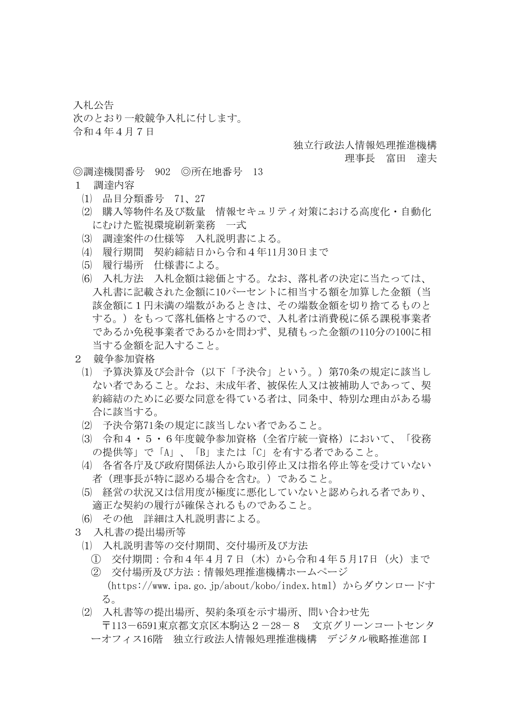入札公告 次のとおり一般競争入札に付します。 令和4年4月7日

## 独立行政法人情報処理推進機構

## 理事長 富田 達夫

- ◎調達機関番号 902 ◎所在地番号 13
- 1 調達内容
	- ⑴ 品目分類番号 71、27
	- ⑵ 購入等物件名及び数量 情報セキュリティ対策における高度化・自動化 にむけた監視環境刷新業務 一式
	- ⑶ 調達案件の仕様等 入札説明書による。
	- ⑷ 履行期間 契約締結日から令和4年11月30日まで
	- ⑸ 履行場所 仕様書による。
	- ⑹ 入札方法 入札金額は総価とする。なお、落札者の決定に当たっては、 入札書に記載された金額に10パーセントに相当する額を加算した金額(当 該金額に1円未満の端数があるときは、その端数金額を切り捨てるものと する。)をもって落札価格とするので、入札者は消費税に係る課税事業者 であるか免税事業者であるかを問わず、見積もった金額の110分の100に相 当する金額を記入すること。
- 2 競争参加資格
- ⑴ 予算決算及び会計令(以下「予決令」という。)第70条の規定に該当し ない者であること。なお、未成年者、被保佐人又は被補助人であって、契 約締結のために必要な同意を得ている者は、同条中、特別な理由がある場 合に該当する。
- ⑵ 予決令第71条の規定に該当しない者であること。
- ⑶ 令和4・5・6年度競争参加資格(全省庁統一資格)において、「役務 の提供等」で「A」、「B」または「C」を有する者であること。
- ⑷ 各省各庁及び政府関係法人から取引停止又は指名停止等を受けていない 者(理事長が特に認める場合を含む。)であること。
- ⑸ 経営の状況又は信用度が極度に悪化していないと認められる者であり、 適正な契約の履行が確保されるものであること。
- ⑹ その他 詳細は入札説明書による。
- 3 入札書の提出場所等
	- ⑴ 入札説明書等の交付期間、交付場所及び方法
		- ① 交付期間:令和4年4月7日(木)から令和4年5月17日(火)まで
		- ② 交付場所及び方法:情報処理推進機構ホームページ (https://www.ipa.go.jp/about/kobo/index.html)からダウンロードす る。
	- ⑵ 入札書等の提出場所、契約条項を示す場所、問い合わせ先 〒113-6591東京都文京区本駒込2-28-8 文京グリーンコートセンタ ーオフィス16階 独立行政法人情報処理推進機構 デジタル戦略推進部I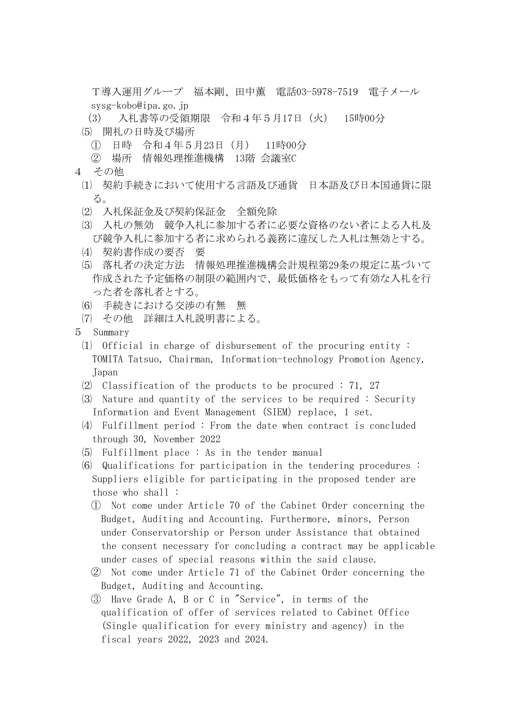T導入運用グループ 福本剛、田中薫 電話03-5978-7519 電子メール sysg-kobo@ipa.go.jp

- (3) 入札書等の受領期限 令和4年5月17日(火) 15時00分
- ⑸ 開札の日時及び場所
	- ① 日時 令和4年5月23日(月) 11時00分
	- ② 場所 情報処理推進機構 13階 会議室C
- 4 その他
	- ⑴ 契約手続きにおいて使用する言語及び通貨 日本語及び日本国通貨に限 る。
	- ⑵ 入札保証金及び契約保証金 全額免除
	- ⑶ 入札の無効 競争入札に参加する者に必要な資格のない者による入札及 び競争入札に参加する者に求められる義務に違反した入札は無効とする。
	- ⑷ 契約書作成の要否 要
	- ⑸ 落札者の決定方法 情報処理推進機構会計規程第29条の規定に基づいて 作成された予定価格の制限の範囲内で、最低価格をもって有効な入札を行 った者を落札者とする。
	- ⑹ 手続きにおける交渉の有無 無
	- ⑺ その他 詳細は入札説明書による。
- 5 Summary
	- ⑴ Official in charge of disbursement of the procuring entity : TOMITA Tatsuo, Chairman, Information-technology Promotion Agency, Japan
	- $(2)$  Classification of the products to be procured : 71, 27
	- ⑶ Nature and quantity of the services to be required : Security Information and Event Management (SIEM) replace, 1 set.
	- ⑷ Fulfillment period : From the date when contract is concluded through 30, November 2022
	- ⑸ Fulfillment place : As in the tender manual
	- ⑹ Qualifications for participation in the tendering procedures : Suppliers eligible for participating in the proposed tender are those who shall :
		- ① Not come under Article 70 of the Cabinet Order concerning the Budget, Auditing and Accounting. Furthermore, minors, Person under Conservatorship or Person under Assistance that obtained the consent necessary for concluding a contract may be applicable under cases of special reasons within the said clause.
		- ② Not come under Article 71 of the Cabinet Order concerning the Budget, Auditing and Accounting.
		- ③ Have Grade A, B or C in "Service", in terms of the qualification of offer of services related to Cabinet Office (Single qualification for every ministry and agency) in the fiscal years 2022, 2023 and 2024.